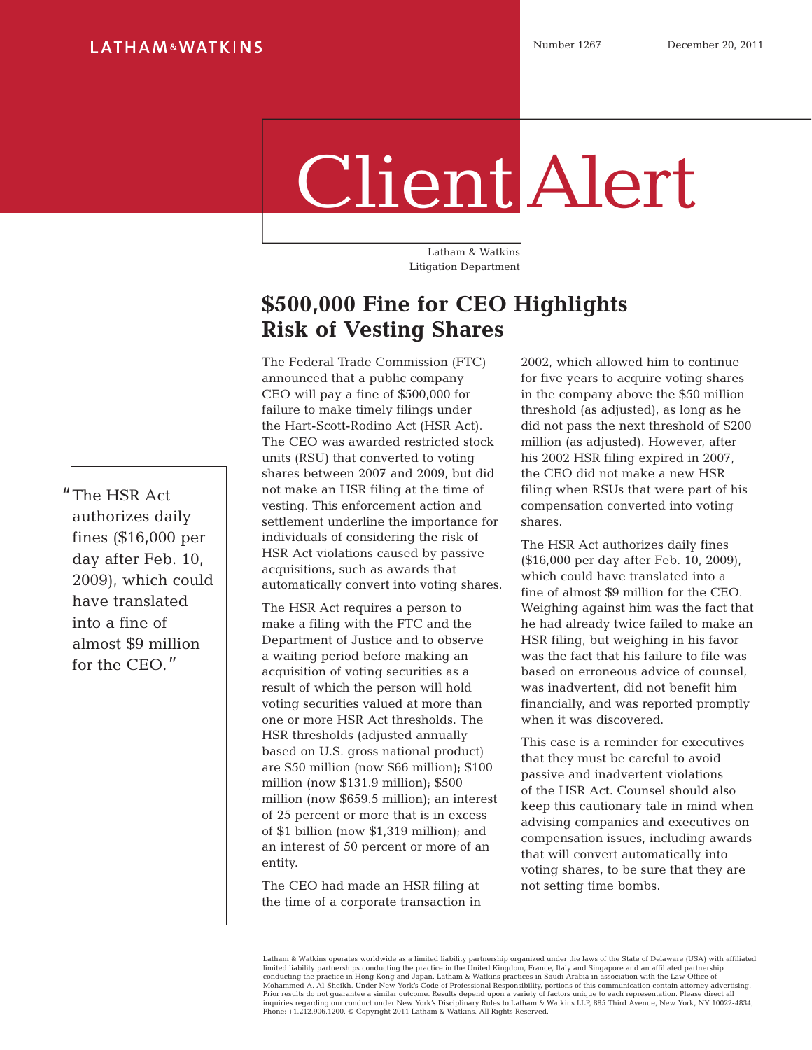## Client Alert

Latham & Watkins Litigation Department

## **\$500,000 Fine for CEO Highlights Risk of Vesting Shares**

The Federal Trade Commission (FTC) announced that a public company CEO will pay a fine of \$500,000 for failure to make timely filings under the Hart-Scott-Rodino Act (HSR Act). The CEO was awarded restricted stock units (RSU) that converted to voting shares between 2007 and 2009, but did not make an HSR filing at the time of vesting. This enforcement action and settlement underline the importance for individuals of considering the risk of HSR Act violations caused by passive acquisitions, such as awards that automatically convert into voting shares.

The HSR Act requires a person to make a filing with the FTC and the Department of Justice and to observe a waiting period before making an acquisition of voting securities as a result of which the person will hold voting securities valued at more than one or more HSR Act thresholds. The HSR thresholds (adjusted annually based on U.S. gross national product) are \$50 million (now \$66 million); \$100 million (now \$131.9 million); \$500 million (now \$659.5 million); an interest of 25 percent or more that is in excess of \$1 billion (now \$1,319 million); and an interest of 50 percent or more of an entity.

The CEO had made an HSR filing at the time of a corporate transaction in

2002, which allowed him to continue for five years to acquire voting shares in the company above the \$50 million threshold (as adjusted), as long as he did not pass the next threshold of \$200 million (as adjusted). However, after his 2002 HSR filing expired in 2007, the CEO did not make a new HSR filing when RSUs that were part of his compensation converted into voting shares.

The HSR Act authorizes daily fines (\$16,000 per day after Feb. 10, 2009), which could have translated into a fine of almost \$9 million for the CEO. Weighing against him was the fact that he had already twice failed to make an HSR filing, but weighing in his favor was the fact that his failure to file was based on erroneous advice of counsel, was inadvertent, did not benefit him financially, and was reported promptly when it was discovered.

This case is a reminder for executives that they must be careful to avoid passive and inadvertent violations of the HSR Act. Counsel should also keep this cautionary tale in mind when advising companies and executives on compensation issues, including awards that will convert automatically into voting shares, to be sure that they are not setting time bombs.

Latham & Watkins operates worldwide as a limited liability partnership organized under the laws of the State of Delaware (USA) with affiliated limited liability partnerships conducting the practice in the United Kingdom, France, Italy and Singapore and an affiliated partnership<br>conducting the practice in Hong Kong and Japan. Latham & Watkins practices in Saudi Ar inquiries regarding our conduct under New York's Disciplinary Rules to Latham & Watkins LLP, 885 Third Avenue, New York, NY 10022-4834, Phone: +1.212.906.1200. © Copyright 2011 Latham & Watkins. All Rights Reserved.

"The HSR Act authorizes daily fines (\$16,000 per day after Feb. 10, 2009), which could have translated into a fine of almost \$9 million for the CEO."